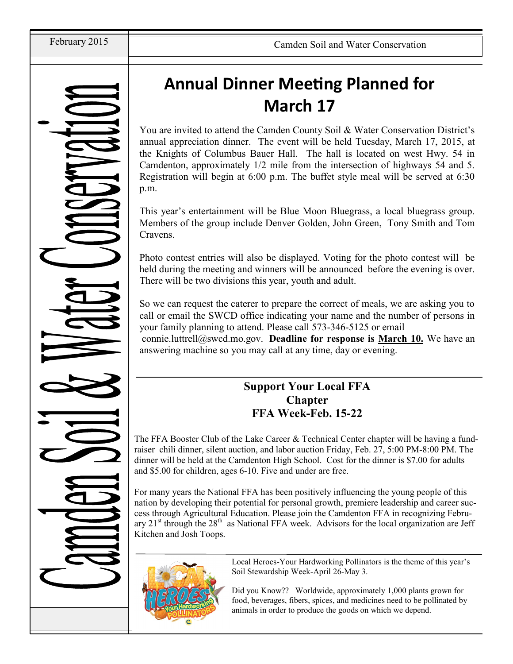# **Annual Dinner Meeting Planned for March 17**

You are invited to attend the Camden County Soil & Water Conservation District's annual appreciation dinner. The event will be held Tuesday, March 17, 2015, at the Knights of Columbus Bauer Hall. The hall is located on west Hwy. 54 in Camdenton, approximately 1/2 mile from the intersection of highways 54 and 5. Registration will begin at 6:00 p.m. The buffet style meal will be served at 6:30 p.m.

This year's entertainment will be Blue Moon Bluegrass, a local bluegrass group. Members of the group include Denver Golden, John Green, Tony Smith and Tom Cravens.

Photo contest entries will also be displayed. Voting for the photo contest will be held during the meeting and winners will be announced before the evening is over. There will be two divisions this year, youth and adult.

So we can request the caterer to prepare the correct of meals, we are asking you to call or email the SWCD office indicating your name and the number of persons in your family planning to attend. Please call 573-346-5125 or email

connie.luttrell@swcd.mo.gov. **Deadline for response is March 10.** We have an answering machine so you may call at any time, day or evening.

## **Support Your Local FFA Chapter FFA Week-Feb. 15-22**

The FFA Booster Club of the Lake Career & Technical Center chapter will be having a fundraiser chili dinner, silent auction, and labor auction Friday, Feb. 27, 5:00 PM-8:00 PM. The dinner will be held at the Camdenton High School. Cost for the dinner is \$7.00 for adults and \$5.00 for children, ages 6-10. Five and under are free.

For many years the National FFA has been positively influencing the young people of this nation by developing their potential for personal growth, premiere leadership and career success through Agricultural Education. Please join the Camdenton FFA in recognizing February 21<sup>st</sup> through the 28<sup>th</sup> as National FFA week. Advisors for the local organization are Jeff Kitchen and Josh Toops.



Local Heroes-Your Hardworking Pollinators is the theme of this year's Soil Stewardship Week-April 26-May 3.

Did you Know?? Worldwide, approximately 1,000 plants grown for food, beverages, fibers, spices, and medicines need to be pollinated by animals in order to produce the goods on which we depend.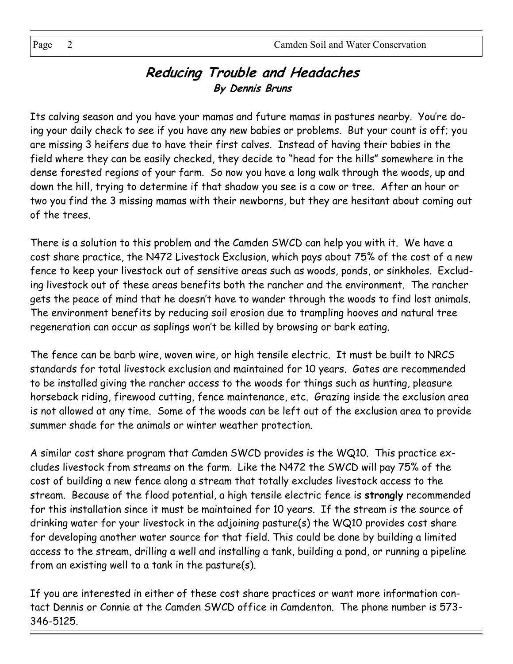## **Reducing Trouble and Headaches By Dennis Bruns**

Its calving season and you have your mamas and future mamas in pastures nearby. You're doing your daily check to see if you have any new babies or problems. But your count is off; you are missing 3 heifers due to have their first calves. Instead of having their babies in the field where they can be easily checked, they decide to "head for the hills" somewhere in the dense forested regions of your farm. So now you have a long walk through the woods, up and down the hill, trying to determine if that shadow you see is a cow or tree. After an hour or two you find the 3 missing mamas with their newborns, but they are hesitant about coming out of the trees.

There is a solution to this problem and the Camden SWCD can help you with it. We have a cost share practice, the N472 Livestock Exclusion, which pays about 75% of the cost of a new fence to keep your livestock out of sensitive areas such as woods, ponds, or sinkholes. Excluding livestock out of these areas benefits both the rancher and the environment. The rancher gets the peace of mind that he doesn't have to wander through the woods to find lost animals. The environment benefits by reducing soil erosion due to trampling hooves and natural tree regeneration can occur as saplings won't be killed by browsing or bark eating.

The fence can be barb wire, woven wire, or high tensile electric. It must be built to NRCS standards for total livestock exclusion and maintained for 10 years. Gates are recommended to be installed giving the rancher access to the woods for things such as hunting, pleasure horseback riding, firewood cutting, fence maintenance, etc. Grazing inside the exclusion area is not allowed at any time. Some of the woods can be left out of the exclusion area to provide summer shade for the animals or winter weather protection.

A similar cost share program that Camden SWCD provides is the WQ10. This practice excludes livestock from streams on the farm. Like the N472 the SWCD will pay 75% of the cost of building a new fence along a stream that totally excludes livestock access to the stream. Because of the flood potential, a high tensile electric fence is **strongly** recommended for this installation since it must be maintained for 10 years. If the stream is the source of drinking water for your livestock in the adjoining pasture(s) the WQ10 provides cost share for developing another water source for that field. This could be done by building a limited access to the stream, drilling a well and installing a tank, building a pond, or running a pipeline from an existing well to a tank in the pasture(s).

If you are interested in either of these cost share practices or want more information contact Dennis or Connie at the Camden SWCD office in Camdenton. The phone number is 573- 346-5125.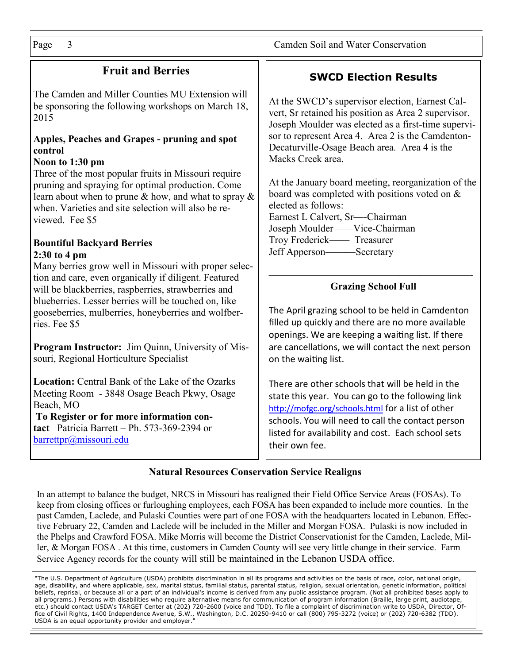## **Fruit and Berries**

The Camden and Miller Counties MU Extension will be sponsoring the following workshops on March 18, 2015

### **Apples, Peaches and Grapes - pruning and spot control**

### **Noon to 1:30 pm**

Three of the most popular fruits in Missouri require pruning and spraying for optimal production. Come learn about when to prune & how, and what to spray & when. Varieties and site selection will also be reviewed. Fee \$5

#### **Bountiful Backyard Berries 2:30 to 4 pm**

Many berries grow well in Missouri with proper selection and care, even organically if diligent. Featured will be blackberries, raspberries, strawberries and blueberries. Lesser berries will be touched on, like gooseberries, mulberries, honeyberries and wolfberries. Fee \$5

**Program Instructor:** Jim Quinn, University of Missouri, Regional Horticulture Specialist

**Location:** Central Bank of the Lake of the Ozarks Meeting Room - 3848 Osage Beach Pkwy, Osage Beach, MO

**To Register or for more information contact** Patricia Barrett – Ph. 573-369-2394 or [barrettpr@missouri.edu](mailto:barrettpr@missouri.edu)

## **SWCD Election Results**

At the SWCD's supervisor election, Earnest Calvert, Sr retained his position as Area 2 supervisor. Joseph Moulder was elected as a first-time supervisor to represent Area 4. Area 2 is the Camdenton-Decaturville-Osage Beach area. Area 4 is the Macks Creek area.

At the January board meeting, reorganization of the board was completed with positions voted on & elected as follows: Earnest L Calvert, Sr—-Chairman Joseph Moulder——Vice-Chairman Troy Frederick—— Treasurer Jeff Apperson———Secretary

#### ————————————————————- **Grazing School Full**

The April grazing school to be held in Camdenton filled up quickly and there are no more available openings. We are keeping a waiting list. If there are cancellations, we will contact the next person on the waiting list.

There are other schools that will be held in the state this year. You can go to the following link <http://mofgc.org/schools.html> for a list of other schools. You will need to call the contact person listed for availability and cost. Each school sets their own fee.

### **Natural Resources Conservation Service Realigns**

In an attempt to balance the budget, NRCS in Missouri has realigned their Field Office Service Areas (FOSAs). To keep from closing offices or furloughing employees, each FOSA has been expanded to include more counties. In the past Camden, Laclede, and Pulaski Counties were part of one FOSA with the headquarters located in Lebanon. Effective February 22, Camden and Laclede will be included in the Miller and Morgan FOSA. Pulaski is now included in the Phelps and Crawford FOSA. Mike Morris will become the District Conservationist for the Camden, Laclede, Miller, & Morgan FOSA . At this time, customers in Camden County will see very little change in their service. Farm Service Agency records for the county will still be maintained in the Lebanon USDA office.

"The U.S. Department of Agriculture (USDA) prohibits discrimination in all its programs and activities on the basis of race, color, national origin, age, disability, and where applicable, sex, marital status, familial status, parental status, religion, sexual orientation, genetic information, political beliefs, reprisal, or because all or a part of an individual's income is derived from any public assistance program. (Not all prohibited bases apply to all programs.) Persons with disabilities who require alternative means for communication of program information (Braille, large print, audiotape, etc.) should contact USDA's TARGET Center at (202) 720-2600 (voice and TDD). To file a complaint of discrimination write to USDA, Director, Office of Civil Rights, 1400 Independence Avenue, S.W., Washington, D.C. 20250-9410 or call (800) 795-3272 (voice) or (202) 720-6382 (TDD). USDA is an equal opportunity provider and employer.'